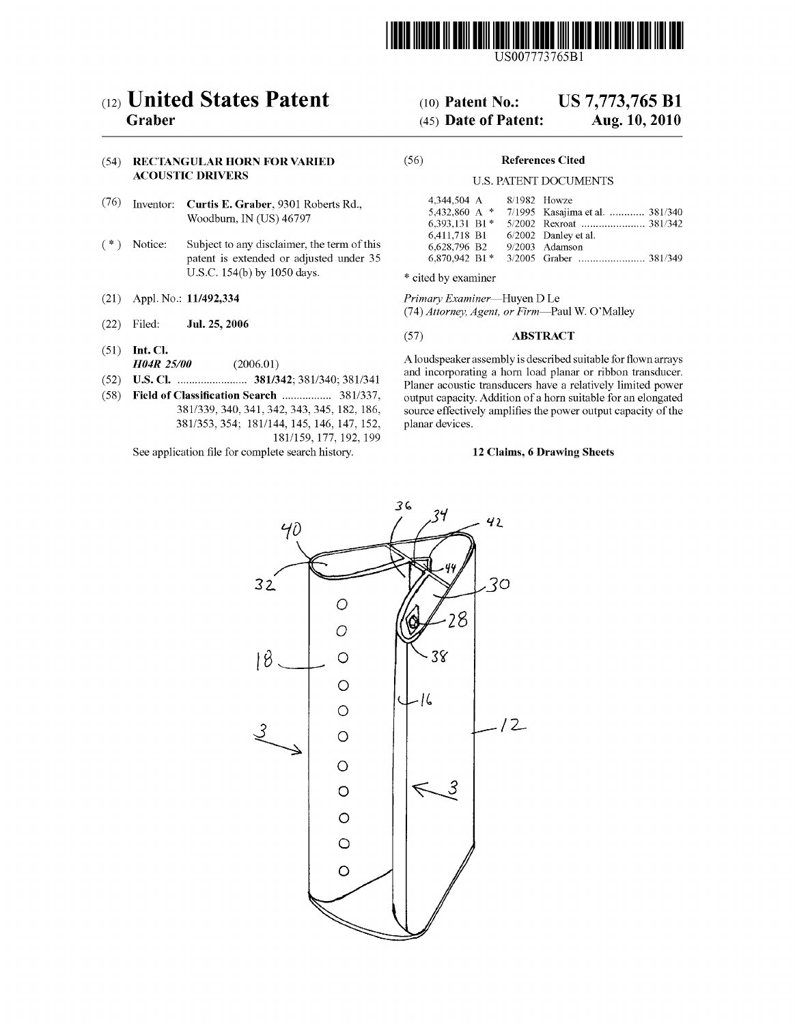

USOO7773765B1

# (54) RECTANGULAR HORN FOR VARIED (56) References Cited<br>ACOUSTIC DRIVERS HE REFERENCES

- (76) Inventor: **Curtis E. Graber**, 9301 Roberts Rd., Woodburn, IN (US) 46797
- $(* )$  Notice: Subject to any disclaimer, the term of this patent is extended or adjusted under 35 U.S.C. 154(b) by 1050 days.
- 
- (22) Filed: Jul. 25, 2006
- 
- 
- 
- - 381/353, 354; 181/144, 145, 146, 147, 152, 181/159, 177, 192,199

See application file for complete search history. 12 Claims, 6 Drawing Sheets

# (12) United States Patent (10) Patent No.: US 7,773,765 B1<br>Graber (45) Date of Patent: Aug. 10, 2010

# $(45)$  Date of Patent:

# U.S. PATENT DOCUMENTS

| Curtis E. Graber, 9301 Roberts Rd.,         | 4.344.504 A 8/1982 Howze          |                                               |
|---------------------------------------------|-----------------------------------|-----------------------------------------------|
| Woodburn. IN (US) 46797                     |                                   | 5,432,860 A * 7/1995 Kasajima et al.  381/340 |
|                                             | 6.411.718 B1 6/2002 Danley et al. |                                               |
| Subject to any disclaimer, the term of this | 6,628,796 B2                      | 9/2003 Adamson                                |
| patent is extended or adjusted under 35     |                                   |                                               |

\* cited by examiner

(21) Appl. No.: 11/492,334 Primary Examiner-Huyen D Le (74) Attorney, Agent, or Firm-Paul W. O'Malley

# (57) ABSTRACT

(51) Int. Cl.<br>  $H04R$  25/00 (2006.01) A loudspeaker assembly is described suitable for flown arrays<br>  $H04R$  25/00 (2006.01) and incorporating a horn load planar or ribbon transducer. (52) U.S. Cl.  $381/342$ ;  $381/340$ ;  $381/341$  and incorporating a horn load planar or ribbon transducer.  $\begin{array}{ll}\n\text{(58)} \quad \text{Field of Classification Search} \quad \text{381/337}, \\
\text{381/339, 340, 341, 342, 343, 345, 182, 186}, \\
\text{381/339, 340, 341, 342, 343, 345, 182, 186}, \\
\text{source effectively amplifies the power output capacity of the power.}\n\end{array}$ source effectively amplifies the power output capacity of the planar devices.

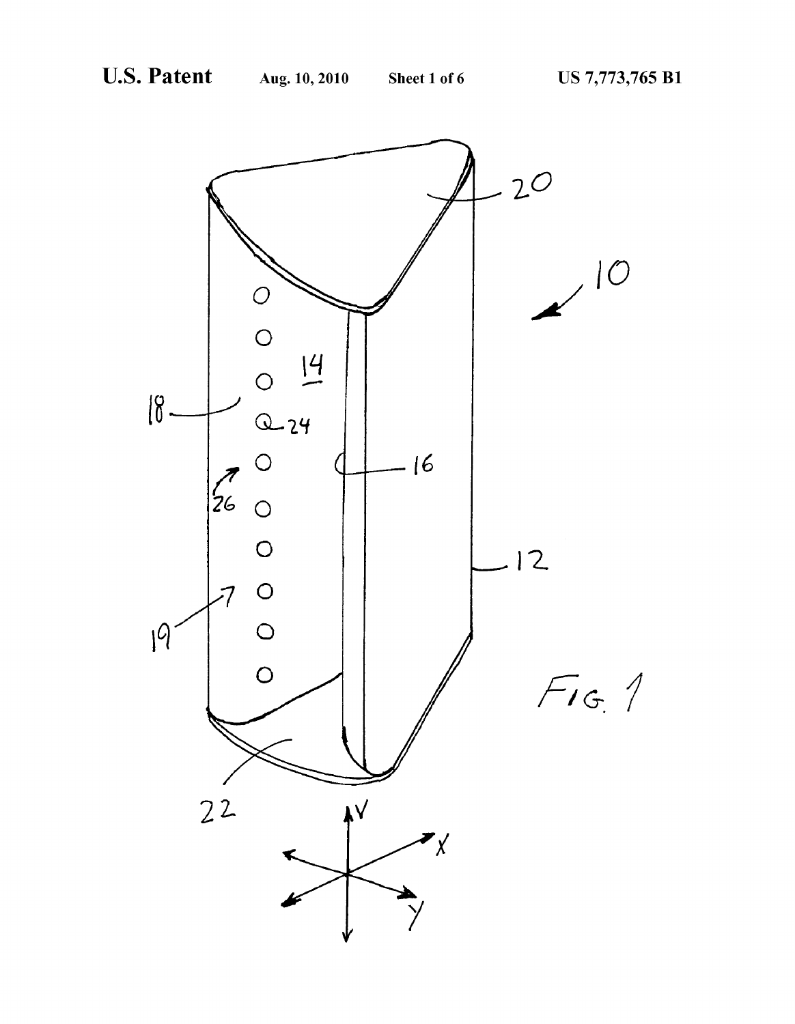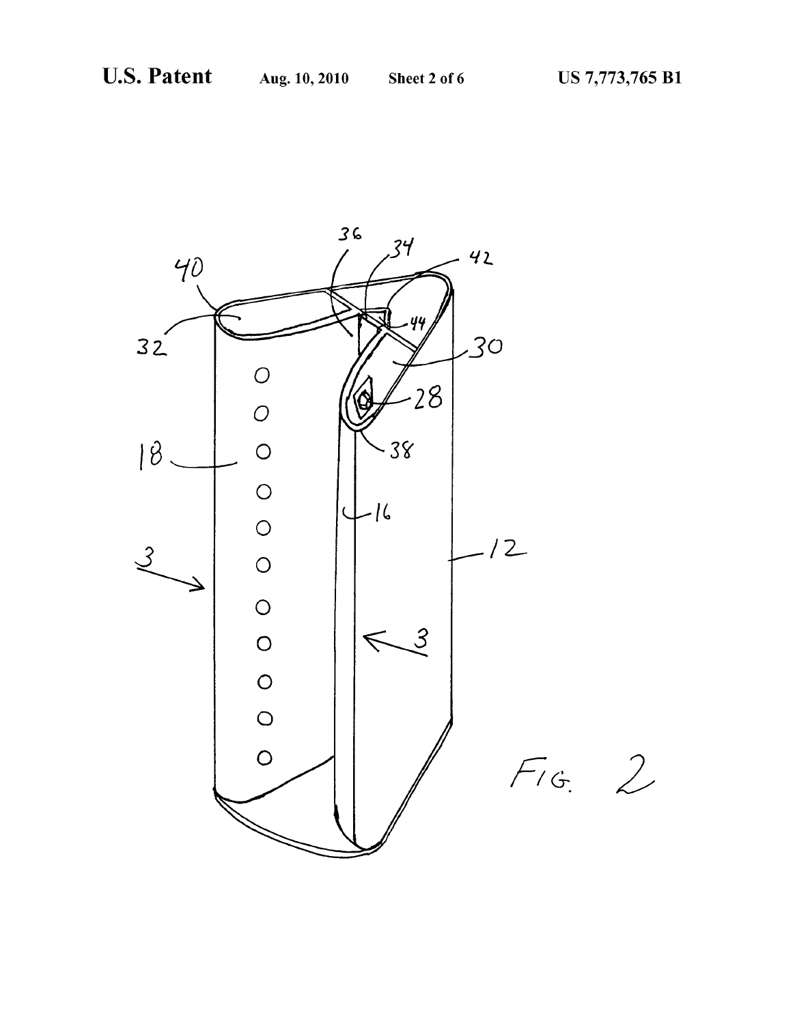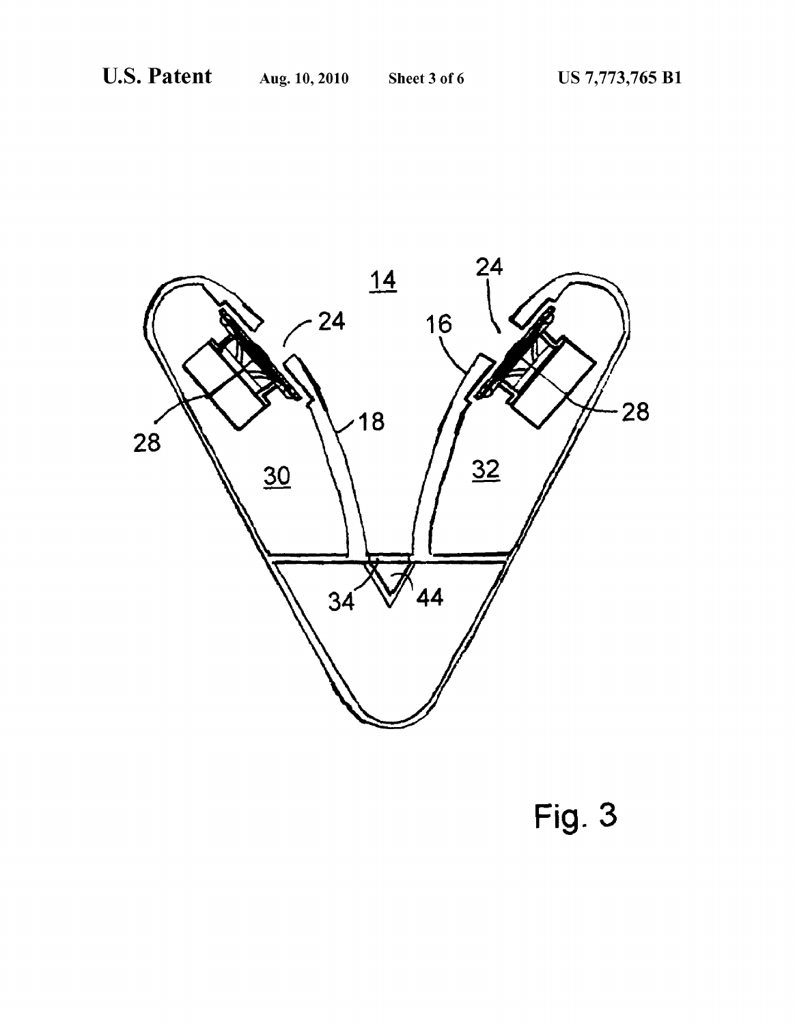

Fig. 3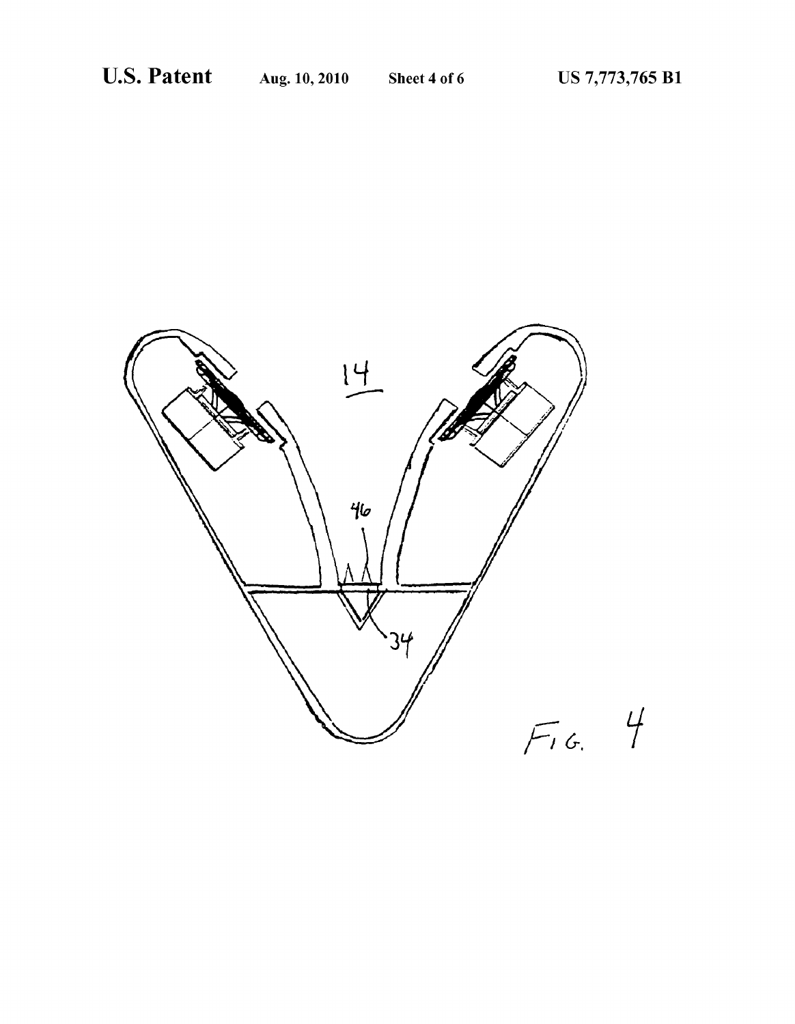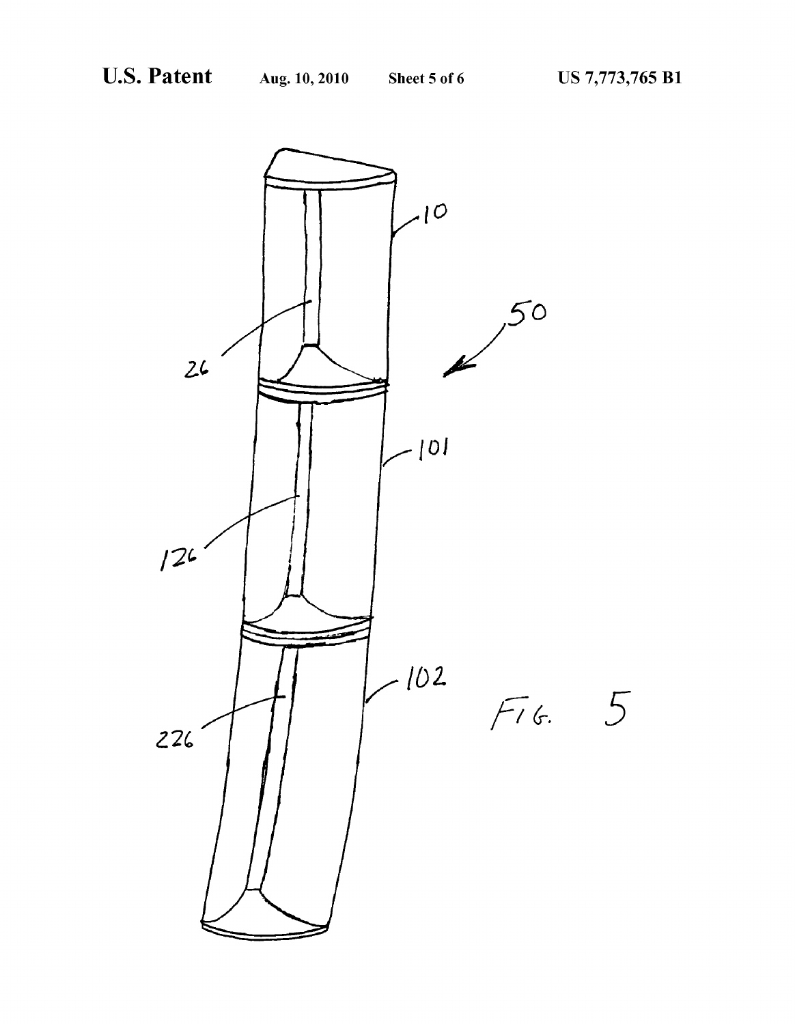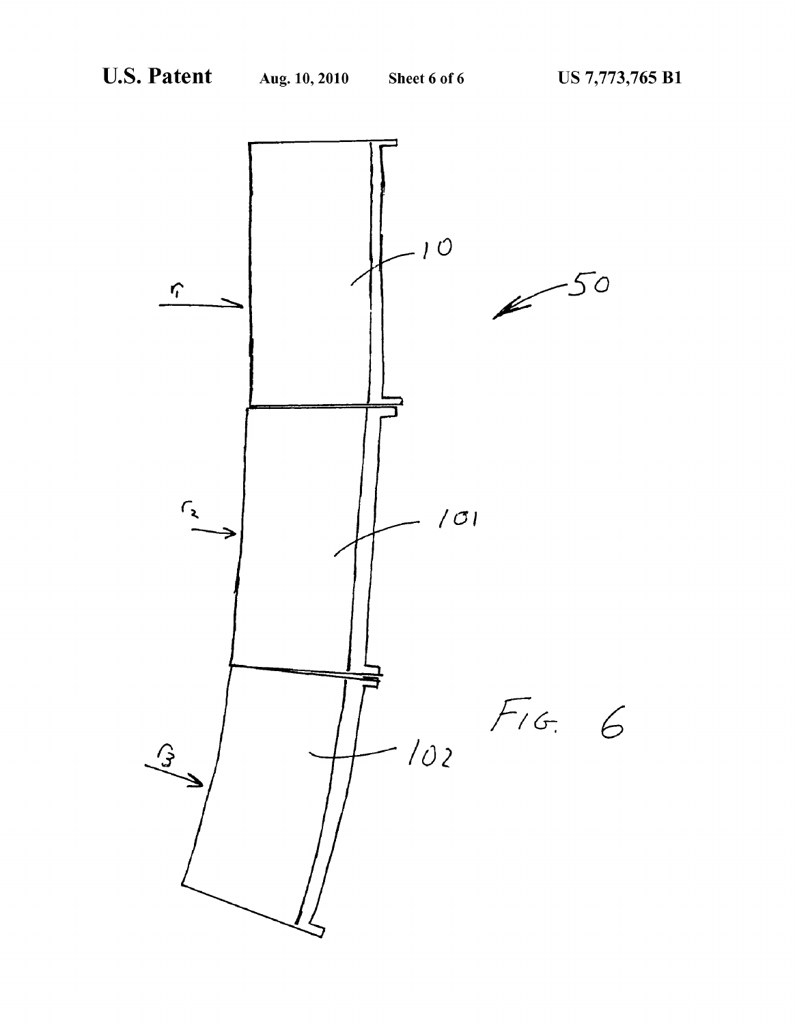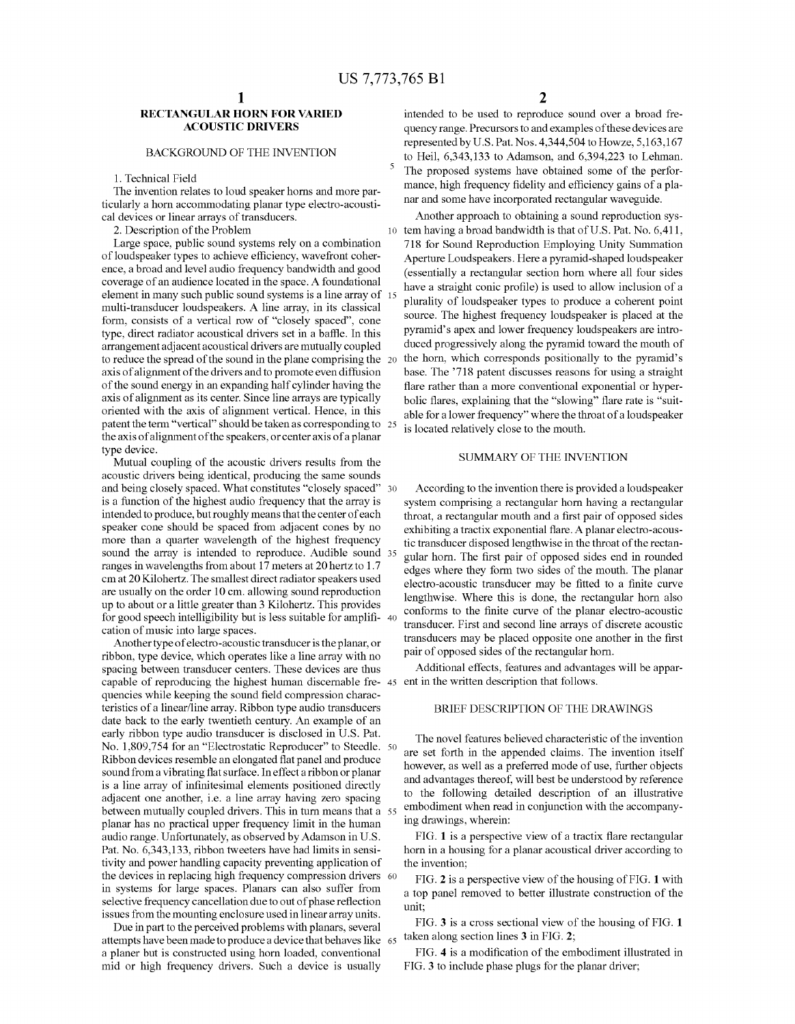# RECTANGULAR HORN FORVARIED ACOUSTIC DRIVERS

### BACKGROUND OF THE INVENTION

### 1. Technical Field

The invention relates to loud speaker horns and more par ticularly a horn accommodating planar type electro-acousti cal devices or linear arrays of transducers.

2. Description of the Problem

Large space, public sound systems rely on a combination of loudspeaker types to achieve efficiency, wavefront coher ence, a broad and level audio frequency bandwidth and good coverage of an audience located in the space. A foundational element in many such public sound systems is a line array of 15 multi-transducer loudspeakers. A line array, in its classical form, consists of a vertical row of "closely spaced', cone type, direct radiator acoustical drivers set in a baffle. In this arrangement adjacent acoustical drivers are mutually coupled to reduce the spread of the sound in the plane comprising the 20 axis of alignment of the drivers and to promote even diffusion of the Sound energy in an expanding half cylinder having the axis of alignment as its center. Since line arrays are typically oriented with the axis of alignment vertical. Hence, in this patent the term "vertical" should be taken as corresponding to 25 the axis of alignment of the speakers, or center axis of a planar type device.

Mutual coupling of the acoustic drivers results from the acoustic drivers being identical, producing the same sounds and being closely spaced. What constitutes "closely spaced" is a function of the highest audio frequency that the array is intended to produce, but roughly means that the center of each speaker cone should be spaced from adjacent cones by no more than a quarter wavelength of the highest frequency sound the array is intended to reproduce. Audible sound 35 ranges in wavelengths from about 17 meters at 20 hertz to 1.7 cm at 20 Kilohertz. The smallest direct radiator speakers used are usually on the order 10 cm. allowing sound reproduction<br>up to about or a little greater than 3 Kilohertz. This provides up to about or a little greater than 3 Kilohertz. This provides<br>for good speech intelligibility but is less suitable for amplifi- 40 cation of music into large spaces. 30

Another type of electro-acoustic transducer is the planar, or ribbon, type device, which operates like a line array with no spacing between transducer centers. These devices are thus capable of reproducing the highest human discernable fre- 45 ent in the written description that follows. quencies while keeping the sound field compression characteristics of a linear/line array. Ribbon type audio transducers date back to the early twentieth century. An example of an early ribbon type audio transducer is disclosed in U.S. Pat. No. 1,809,754 for an "Electrostatic Reproducer" to Steedle. 50 Ribbon devices resemble an elongated flat panel and produce is a line array of infinitesimal elements positioned directly adjacent one another, i.e. a line array having zero spacing between mutually coupled drivers. This in turn means that a 55 planar has no practical upper frequency limit in the human audio range. Unfortunately, as observed by Adamson in U.S. Pat. No. 6,343,133, ribbon tweeters have had limits in sensi tivity and power handling capacity preventing application of the devices in replacing high frequency compression drivers 60 in systems for large spaces. Planars can also suffer from selective frequency cancellation due to out of phase reflection issues from the mounting enclosure used in linear array units.

Due in part to the perceived problems with planars, several attempts have been made to produce a device that behaves like 65 a planer but is constructed using horn loaded, conventional mid or high frequency drivers. Such a device is usually

2

intended to be used to reproduce sound over a broad fre quency range. Precursors to and examples of these devices are represented by U.S. Pat. Nos. 4,344,504 to Howze, 5,163,167 to Heil, 6,343,133 to Adamson, and 6.394,223 to Lehman. The proposed systems have obtained some of the perfor mance, high frequency fidelity and efficiency gains of a pla nar and some have incorporated rectangular waveguide.

10 tem having a broadbandwidth is that of U.S. Pat. No. 6,411, Another approach to obtaining a sound reproduction sys 718 for Sound Reproduction Employing Unity Summation Aperture Loudspeakers. Here a pyramid-shaped loudspeaker (essentially a rectangular section horn where all four sides have a straight conic profile) is used to allow inclusion of a plurality of loudspeaker types to produce a coherent point source. The highest frequency loudspeaker is placed at the pyramid's apex and lower frequency loudspeakers are introduced progressively along the pyramid toward the mouth of the horn, which corresponds positionally to the pyramid's base. The 718 patent discusses reasons for using a straight flare rather than a more conventional exponential or hyper bolic flares, explaining that the "slowing" flare rate is "suitable for a lower frequency' where the throat of a loudspeaker is located relatively close to the mouth.

# SUMMARY OF THE INVENTION

According to the invention there is provided a loudspeaker system comprising a rectangular horn having a rectangular throat, a rectangular mouth and a first pair of opposed sides exhibiting a tractix exponential flare. A planar electro-acous tic transducer disposed lengthwise in the throat of the rectan gular horn. The first pair of opposed sides end in rounded edges where they form two sides of the mouth. The planar electro-acoustic transducer may be fitted to a finite curve lengthwise. Where this is done, the rectangular horn also conforms to the finite curve of the planar electro-acoustic transducer. First and second line arrays of discrete acoustic transducers may be placed opposite one another in the first pair of opposed sides of the rectangular horn.

Additional effects, features and advantages will be appar

# BRIEF DESCRIPTION OF THE DRAWINGS

The novel features believed characteristic of the invention are set forth in the appended claims. The invention itself however, as well as a preferred mode of use, further objects and advantages thereof, will best be understood by reference to the following detailed description of an illustrative embodiment when read in conjunction with the accompany ing drawings, wherein:

FIG. 1 is a perspective view of a tractix flare rectangular horn in a housing for a planar acoustical driver according to the invention;

FIG. 2 is a perspective view of the housing of FIG. 1 with a top panel removed to better illustrate construction of the unit;

FIG. 3 is a cross sectional view of the housing of FIG. 1 taken along section lines 3 in FIG. 2;

FIG. 4 is a modification of the embodiment illustrated in FIG. 3 to include phase plugs for the planar driver;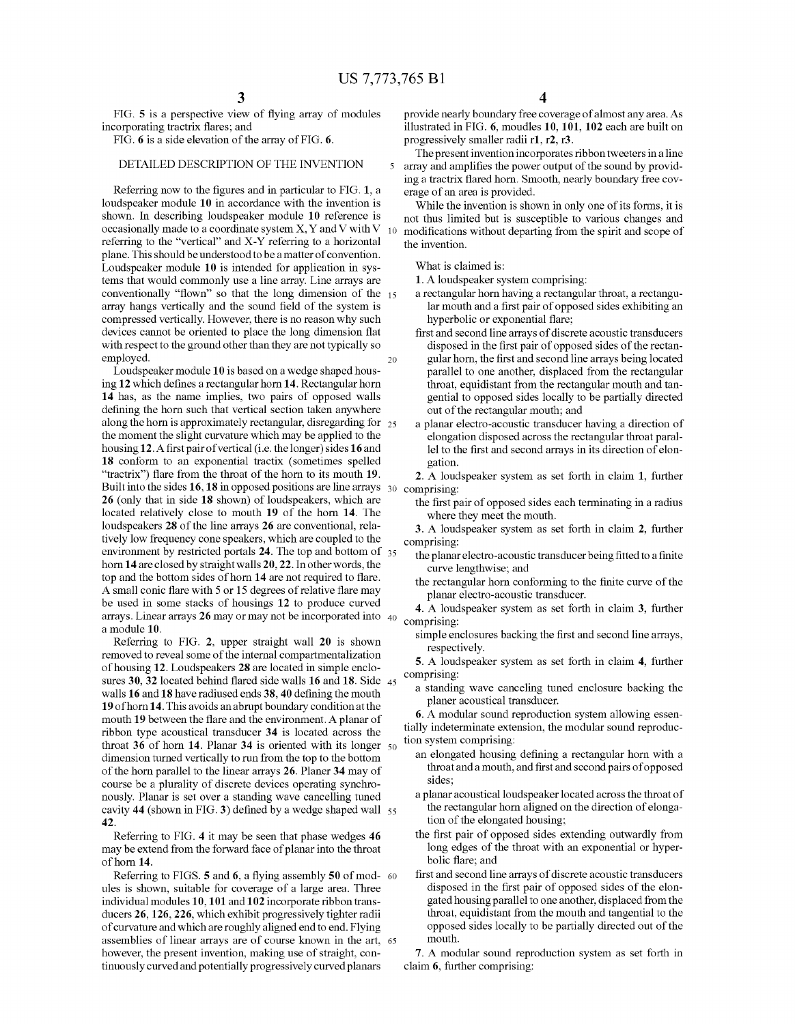5

FIG. 5 is a perspective view of flying array of modules incorporating tractrix flares; and

FIG. 6 is a side elevation of the array of FIG. 6.

# DETAILED DESCRIPTION OF THE INVENTION

Referring now to the figures and in particular to FIG. 1, a loudspeaker module 10 in accordance with the invention is shown. In describing loudspeaker module 10 reference is occasionally made to a coordinate system X, Y and V with V referring to the "vertical" and X-Y referring to a horizontal plane. This should be understood to be a matter of convention. Loudspeaker module 10 is intended for application in sys tems that would commonly use a line array. Line arrays are conventionally "flown" so that the long dimension of the 15 array hangs vertically and the sound field of the system is compressed vertically. However, there is no reason why such devices cannot be oriented to place the long dimension flat with respect to the ground other than they are not typically so employed. 10

Loudspeaker module 10 is based on a wedge shaped hous ing 12 which defines a rectangular horn 14. Rectangular horn 14 has, as the name implies, two pairs of opposed walls defining the horn such that vertical section taken anywhere defining the horn Such that vertical section taken anywhere along the horn is approximately rectangular, disregarding for 25 the moment the slight curvature which may be applied to the housing 12. A first pair of vertical (i.e. the longer) sides 16 and 18 conform to an exponential tractix (sometimes spelled "tractrix") flare from the throat of the horn to its mouth 19. Built into the sides 16, 18 in opposed positions are line arrays 30 comprising: 26 (only that in side 18 shown) of loudspeakers, which are located relatively close to mouth 19 of the horn 14. The loudspeakers 28 of the line arrays 26 are conventional, rela tively low frequency cone speakers, which are coupled to the environment by restricted portals 24. The top and bottom of 35 horn 14 are closed by straight walls 20, 22. In other words, the top and the bottom sides of horn 14 are not required to flare.<br>A small conic flare with 5 or 15 degrees of relative flare may be used in some stacks of housings 12 to produce curved arrays. Linear arrays 26 may or may not be incorporated into  $40$  comprising:<br>a module 10.

Referring to FIG. 2, upper straight wall 20 is shown removed to reveal some of the internal compartmentalization of housing 12. Loudspeakers 28 are located in simple enclosures  $50$ ,  $52$  located behind flared side walls **10** and  $18$ . Side  $45$ walls 16 and 18 have radiused ends 38, 40 defining the mouth 19 of horn 14. This avoids an abrupt boundary condition at the mouth 19 between the flare and the environment. A planar of ribbon type acoustical transducer 34 is located across the dimension turned vertically to run from the top to the bottom of the horn parallel to the linear arrays 26. Planer 34 may of course be a plurality of discrete devices operating synchro nously. Planar is set over a standing wave cancelling tuned cavity  $44$  (shown in FIG. 3) defined by a wedge shaped wall  $\,55$ 42. throat 36 of horn 14. Planar 34 is oriented with its longer  $50$ 

Referring to FIG. 4 it may be seen that phase wedges 46 may be extend from the forward face of planar into the throat of horn 14.

Referring to FIGS.  $5$  and  $6$ , a flying assembly  $50$  of mod-  $60$ ules is shown, suitable for coverage of a large area. Three individual modules 10, 101 and 102 incorporate ribbon trans ducers 26, 126, 226, which exhibit progressively tighter radii of curvature and which are roughly aligned end to end. Flying assemblies of linear arrays are of course known in the art, 65 however, the present invention, making use of straight, con tinuously curved and potentially progressively curved planars

provide nearly boundary free coverage of almost any area. As illustrated in FIG. 6, moudles 10, 101, 102 each are built on progressively smaller radii r1, r2, r3.

The present invention incorporates ribbon tweeters in a line array and amplifies the power output of the sound by providing a tractrix flared horn. Smooth, nearly boundary free cov erage of an area is provided.

While the invention is shown in only one of its forms, it is not thus limited but is susceptible to various changes and modifications without departing from the spirit and scope of the invention.

What is claimed is:

1. A loudspeaker system comprising:

- a rectangular horn having a rectangular throat, a rectangu lar mouth and a first pair of opposed sides exhibiting an hyperbolic or exponential flare;
- first and second line arrays of discrete acoustic transducers disposed in the first pair of opposed sides of the rectan gular horn, the first and second line arrays being located parallel to one another, displaced from the rectangular throat, equidistant from the rectangular mouth and tan gential to opposed sides locally to be partially directed out of the rectangular mouth; and
- a planar electro-acoustic transducer having a direction of elongation disposed across the rectangular throat paral lel to the first and second arrays in its direction of elon-<br>gation.

2. A loudspeaker system as set forth in claim 1, further

the first pair of opposed sides each terminating in a radius where they meet the mouth.

3. A loudspeaker system as set forth in claim 2, further comprising:

- the planar electro-acoustic transducer being fitted to a finite curve lengthwise; and
- the rectangular horn conforming to the finite curve of the planar electro-acoustic transducer.
- 4. A loudspeaker system as set forth in claim 3, further
- simple enclosures backing the first and second line arrays, respectively.

5. A loudspeaker system as set forth in claim 4, further comprising:

a standing wave canceling tuned enclosure backing the planer acoustical transducer.

6. A modular sound reproduction system allowing essen tially indeterminate extension, the modular sound reproduction system comprising:

- an elongated housing defining a rectangular horn with a throatanda mouth, and first and second pairs of opposed sides;
- a planar acoustical loudspeaker located across the throat of the rectangular horn aligned on the direction of elongation of the elongated housing;
- the first pair of opposed sides extending outwardly from long edges of the throat with an exponential or hyper bolic flare; and
- first and second line arrays of discrete acoustic transducers disposed in the first pair of opposed sides of the elon gated housing parallel to one another, displaced from the throat, equidistant from the mouth and tangential to the opposed sides locally to be partially directed out of the mouth.

7. A modular sound reproduction system as set forth in claim 6, further comprising:

20